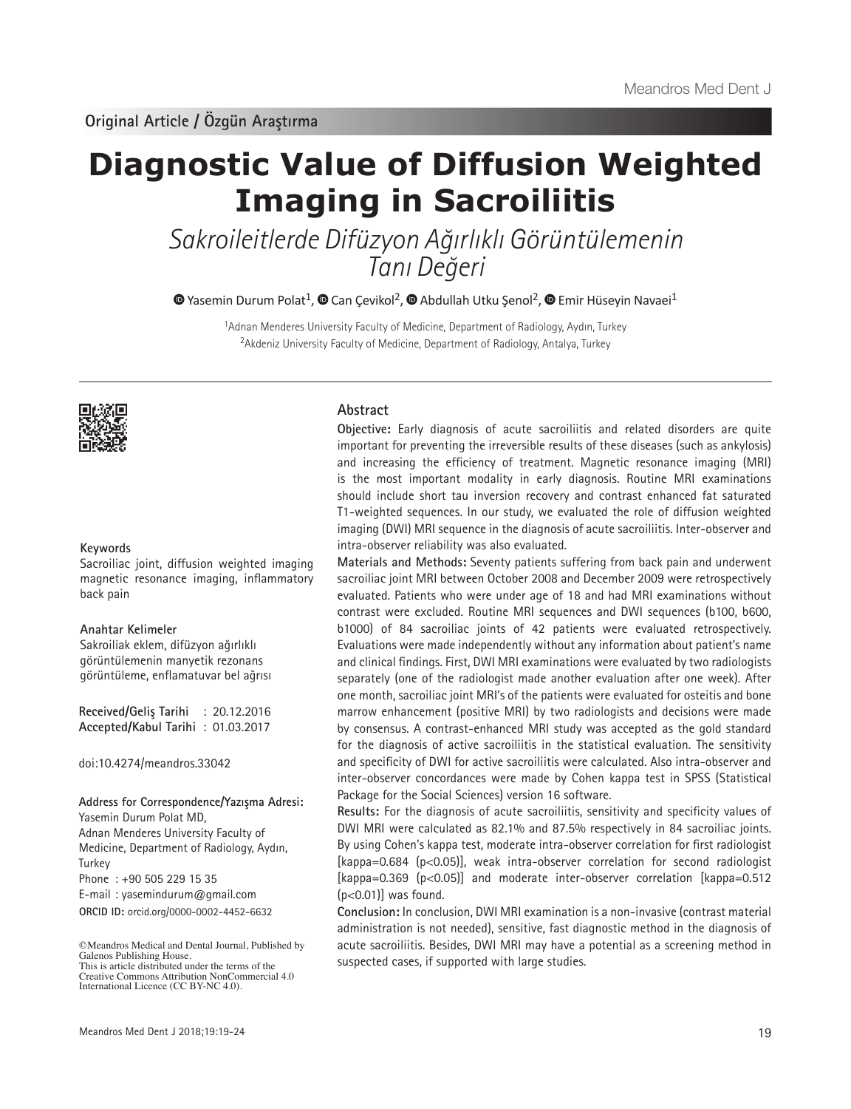# **Diagnostic Value of Diffusion Weighted Imaging in Sacroiliitis**

Sakroileitlerde Difüzyon Ağırlıklı Görüntülemenin Tanı Değeri

 $\bullet$ Yasemin Durum Polat<sup>1</sup>,  $\bullet$  Can Cevikol<sup>2</sup>,  $\bullet$  Abdullah Utku Senol<sup>2</sup>,  $\bullet$  Emir Hüseyin Navaei<sup>1</sup>

<sup>1</sup>Adnan Menderes University Faculty of Medicine, Department of Radiology, Aydın, Turkey <sup>2</sup>Akdeniz University Faculty of Medicine, Department of Radiology, Antalya, Turkey



#### **Keywords**

Sacroiliac joint, diffusion weighted imaging magnetic resonance imaging, inflammatory back pain

## **Anahtar Kelimeler**

Sakroiliak eklem, difüzyon ağırlıklı görüntülemenin manyetik rezonans görüntüleme, enflamatuvar bel ağrısı

**Received/Geliş Tarihi** : 20.12.2016 **Accepted/Kabul Tarihi** : 01.03.2017

doi:10.4274/meandros.33042

**Address for Correspondence/Yazışma Adresi:**

Yasemin Durum Polat MD,

Adnan Menderes University Faculty of Medicine, Department of Radiology, Aydın, Turkey

Phone : +90 505 229 15 35

E-mail : yasemindurum@gmail.com

**ORCID ID:** orcid.org/0000-0002-4452-6632

# **Abstract**

**Objective:** Early diagnosis of acute sacroiliitis and related disorders are quite important for preventing the irreversible results of these diseases (such as ankylosis) and increasing the efficiency of treatment. Magnetic resonance imaging (MRI) is the most important modality in early diagnosis. Routine MRI examinations should include short tau inversion recovery and contrast enhanced fat saturated T1-weighted sequences. In our study, we evaluated the role of diffusion weighted imaging (DWI) MRI sequence in the diagnosis of acute sacroiliitis. Inter-observer and intra-observer reliability was also evaluated.

**Materials and Methods:** Seventy patients suffering from back pain and underwent sacroiliac joint MRI between October 2008 and December 2009 were retrospectively evaluated. Patients who were under age of 18 and had MRI examinations without contrast were excluded. Routine MRI sequences and DWI sequences (b100, b600, b1000) of 84 sacroiliac joints of 42 patients were evaluated retrospectively. Evaluations were made independently without any information about patient's name and clinical findings. First, DWI MRI examinations were evaluated by two radiologists separately (one of the radiologist made another evaluation after one week). After one month, sacroiliac joint MRI's of the patients were evaluated for osteitis and bone marrow enhancement (positive MRI) by two radiologists and decisions were made by consensus. A contrast-enhanced MRI study was accepted as the gold standard for the diagnosis of active sacroiliitis in the statistical evaluation. The sensitivity and specificity of DWI for active sacroiliitis were calculated. Also intra-observer and inter-observer concordances were made by Cohen kappa test in SPSS (Statistical Package for the Social Sciences) version 16 software.

**Results:** For the diagnosis of acute sacroiliitis, sensitivity and specificity values of DWI MRI were calculated as 82.1% and 87.5% respectively in 84 sacroiliac joints. By using Cohen's kappa test, moderate intra-observer correlation for first radiologist [kappa=0.684 (p<0.05)], weak intra-observer correlation for second radiologist [kappa=0.369 (p<0.05)] and moderate inter-observer correlation [kappa=0.512  $(p<0.01)$ ] was found.

**Conclusion:** In conclusion, DWI MRI examination is a non-invasive (contrast material administration is not needed), sensitive, fast diagnostic method in the diagnosis of acute sacroiliitis. Besides, DWI MRI may have a potential as a screening method in suspected cases, if supported with large studies.

<sup>©</sup>Meandros Medical and Dental Journal, Published by Galenos Publishing House. This is article distributed under the terms of the

Creative Commons Attribution NonCommercial 4.0 International Licence (CC BY-NC 4.0).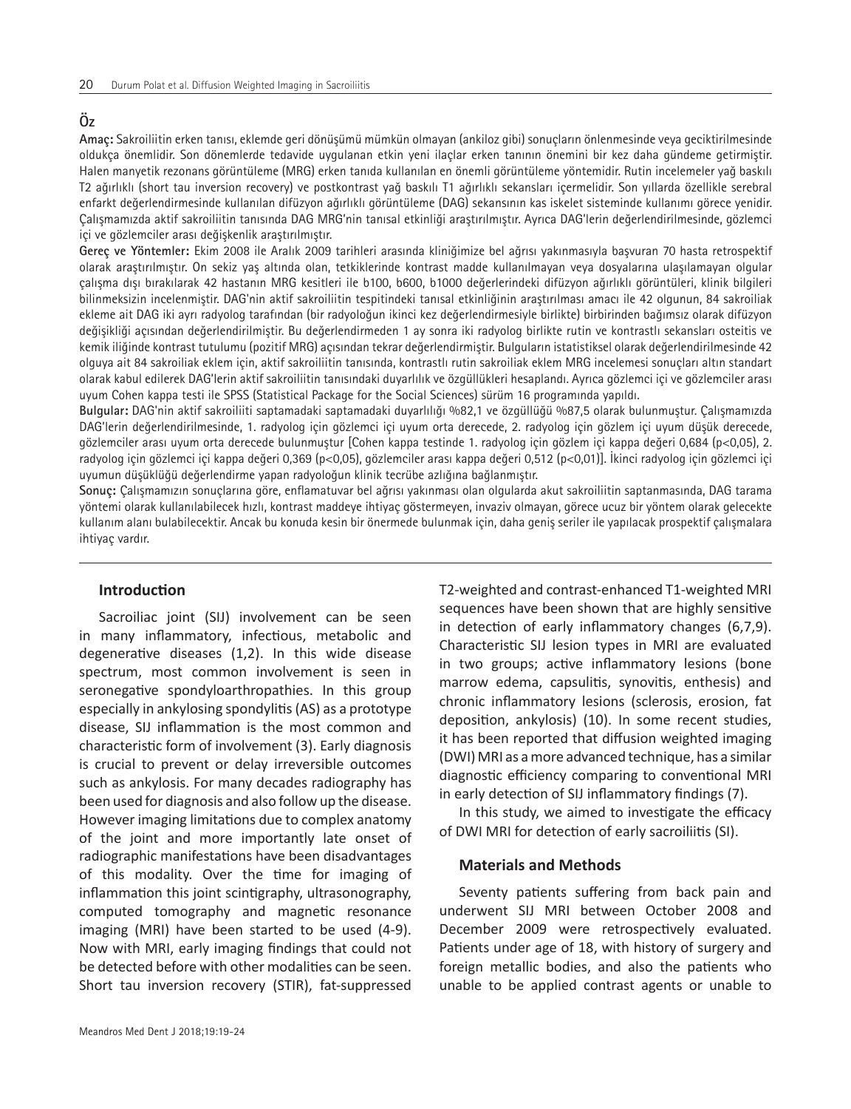# **Öz**

**Amaç:** Sakroiliitin erken tanısı, eklemde geri dönüşümü mümkün olmayan (ankiloz gibi) sonuçların önlenmesinde veya geciktirilmesinde oldukça önemlidir. Son dönemlerde tedavide uygulanan etkin yeni ilaçlar erken tanının önemini bir kez daha gündeme getirmiştir. Halen manyetik rezonans görüntüleme (MRG) erken tanıda kullanılan en önemli görüntüleme yöntemidir. Rutin incelemeler yağ baskılı T2 ağırlıklı (short tau inversion recovery) ve postkontrast yağ baskılı T1 ağırlıklı sekansları içermelidir. Son yıllarda özellikle serebral enfarkt değerlendirmesinde kullanılan difüzyon ağırlıklı görüntüleme (DAG) sekansının kas iskelet sisteminde kullanımı görece yenidir. Çalışmamızda aktif sakroiliitin tanısında DAG MRG'nin tanısal etkinliği araştırılmıştır. Ayrıca DAG'lerin değerlendirilmesinde, gözlemci içi ve gözlemciler arası değişkenlik araştırılmıştır.

**Gereç ve Yöntemler:** Ekim 2008 ile Aralık 2009 tarihleri arasında kliniğimize bel ağrısı yakınmasıyla başvuran 70 hasta retrospektif olarak araştırılmıştır. On sekiz yaş altında olan, tetkiklerinde kontrast madde kullanılmayan veya dosyalarına ulaşılamayan olgular çalışma dışı bırakılarak 42 hastanın MRG kesitleri ile b100, b600, b1000 değerlerindeki difüzyon ağırlıklı görüntüleri, klinik bilgileri bilinmeksizin incelenmiştir. DAG'nin aktif sakroiliitin tespitindeki tanısal etkinliğinin araştırılması amacı ile 42 olgunun, 84 sakroiliak ekleme ait DAG iki ayrı radyolog tarafından (bir radyoloğun ikinci kez değerlendirmesiyle birlikte) birbirinden bağımsız olarak difüzyon değişikliği açısından değerlendirilmiştir. Bu değerlendirmeden 1 ay sonra iki radyolog birlikte rutin ve kontrastlı sekansları osteitis ve kemik iliğinde kontrast tutulumu (pozitif MRG) açısından tekrar değerlendirmiştir. Bulguların istatistiksel olarak değerlendirilmesinde 42 olguya ait 84 sakroiliak eklem için, aktif sakroiliitin tanısında, kontrastlı rutin sakroiliak eklem MRG incelemesi sonuçları altın standart olarak kabul edilerek DAG'lerin aktif sakroiliitin tanısındaki duyarlılık ve özgüllükleri hesaplandı. Ayrıca gözlemci içi ve gözlemciler arası uyum Cohen kappa testi ile SPSS (Statistical Package for the Social Sciences) sürüm 16 programında yapıldı.

**Bulgular:** DAG'nin aktif sakroiliiti saptamadaki saptamadaki duyarlılığı %82,1 ve özgüllüğü %87,5 olarak bulunmuştur. Çalışmamızda DAG'lerin değerlendirilmesinde, 1. radyolog için gözlemci içi uyum orta derecede, 2. radyolog için gözlem içi uyum düşük derecede, gözlemciler arası uyum orta derecede bulunmuştur [Cohen kappa testinde 1. radyolog için gözlem içi kappa değeri 0,684 (p<0,05), 2. radyolog için gözlemci içi kappa değeri 0,369 (p<0,05), gözlemciler arası kappa değeri 0,512 (p<0,01)]. İkinci radyolog için gözlemci içi uyumun düşüklüğü değerlendirme yapan radyoloğun klinik tecrübe azlığına bağlanmıştır.

**Sonuç:** Çalışmamızın sonuçlarına göre, enflamatuvar bel ağrısı yakınması olan olgularda akut sakroiliitin saptanmasında, DAG tarama yöntemi olarak kullanılabilecek hızlı, kontrast maddeye ihtiyaç göstermeyen, invaziv olmayan, görece ucuz bir yöntem olarak gelecekte kullanım alanı bulabilecektir. Ancak bu konuda kesin bir önermede bulunmak için, daha geniş seriler ile yapılacak prospektif çalışmalara ihtiyaç vardır.

## **Introduction**

Sacroiliac joint (SIJ) involvement can be seen in many inflammatory, infectious, metabolic and degenerative diseases (1,2). In this wide disease spectrum, most common involvement is seen in seronegative spondyloarthropathies. In this group especially in ankylosing spondylitis (AS) as a prototype disease, SIJ inflammation is the most common and characteristic form of involvement (3). Early diagnosis is crucial to prevent or delay irreversible outcomes such as ankylosis. For many decades radiography has been used for diagnosis and also follow up the disease. However imaging limitations due to complex anatomy of the joint and more importantly late onset of radiographic manifestations have been disadvantages of this modality. Over the time for imaging of inflammation this joint scintigraphy, ultrasonography, computed tomography and magnetic resonance imaging (MRI) have been started to be used (4-9). Now with MRI, early imaging findings that could not be detected before with other modalities can be seen. Short tau inversion recovery (STIR), fat-suppressed

T2-weighted and contrast-enhanced T1-weighted MRI sequences have been shown that are highly sensitive in detection of early inflammatory changes (6,7,9). Characteristic SIJ lesion types in MRI are evaluated in two groups; active inflammatory lesions (bone marrow edema, capsulitis, synovitis, enthesis) and chronic inflammatory lesions (sclerosis, erosion, fat deposition, ankylosis) (10). In some recent studies, it has been reported that diffusion weighted imaging (DWI) MRI as a more advanced technique, has a similar diagnostic efficiency comparing to conventional MRI in early detection of SIJ inflammatory findings (7).

In this study, we aimed to investigate the efficacy of DWI MRI for detection of early sacroiliitis (SI).

## **Materials and Methods**

Seventy patients suffering from back pain and underwent SIJ MRI between October 2008 and December 2009 were retrospectively evaluated. Patients under age of 18, with history of surgery and foreign metallic bodies, and also the patients who unable to be applied contrast agents or unable to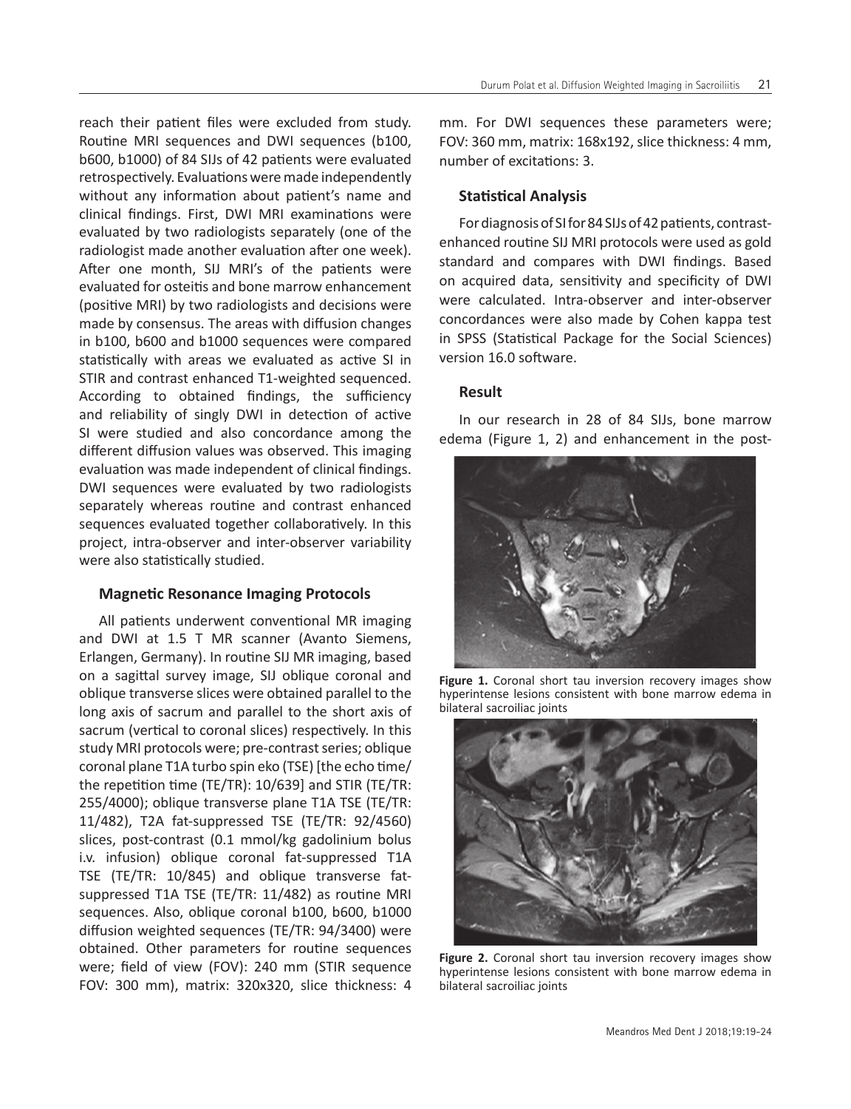reach their patient files were excluded from study. Routine MRI sequences and DWI sequences (b100, b600, b1000) of 84 SIJs of 42 patients were evaluated retrospectively. Evaluations were made independently without any information about patient's name and clinical findings. First, DWI MRI examinations were evaluated by two radiologists separately (one of the radiologist made another evaluation after one week). After one month, SIJ MRI's of the patients were evaluated for osteitis and bone marrow enhancement (positive MRI) by two radiologists and decisions were made by consensus. The areas with diffusion changes in b100, b600 and b1000 sequences were compared statistically with areas we evaluated as active SI in STIR and contrast enhanced T1-weighted sequenced. According to obtained findings, the sufficiency and reliability of singly DWI in detection of active SI were studied and also concordance among the different diffusion values was observed. This imaging evaluation was made independent of clinical findings. DWI sequences were evaluated by two radiologists separately whereas routine and contrast enhanced sequences evaluated together collaboratively. In this project, intra-observer and inter-observer variability were also statistically studied.

# **Magnetic Resonance Imaging Protocols**

All patients underwent conventional MR imaging and DWI at 1.5 T MR scanner (Avanto Siemens, Erlangen, Germany). In routine SIJ MR imaging, based on a sagittal survey image, SIJ oblique coronal and oblique transverse slices were obtained parallel to the long axis of sacrum and parallel to the short axis of sacrum (vertical to coronal slices) respectively. In this study MRI protocols were; pre-contrast series; oblique coronal plane T1A turbo spin eko (TSE) [the echo time/ the repetition time (TE/TR): 10/639] and STIR (TE/TR: 255/4000); oblique transverse plane T1A TSE (TE/TR: 11/482), T2A fat-suppressed TSE (TE/TR: 92/4560) slices, post-contrast (0.1 mmol/kg gadolinium bolus i.v. infusion) oblique coronal fat-suppressed T1A TSE (TE/TR: 10/845) and oblique transverse fatsuppressed T1A TSE (TE/TR: 11/482) as routine MRI sequences. Also, oblique coronal b100, b600, b1000 diffusion weighted sequences (TE/TR: 94/3400) were obtained. Other parameters for routine sequences were; field of view (FOV): 240 mm (STIR sequence FOV: 300 mm), matrix: 320x320, slice thickness: 4 mm. For DWI sequences these parameters were; FOV: 360 mm, matrix: 168x192, slice thickness: 4 mm, number of excitations: 3.

# **Statistical Analysis**

For diagnosis of SI for 84 SIJs of 42 patients, contrastenhanced routine SIJ MRI protocols were used as gold standard and compares with DWI findings. Based on acquired data, sensitivity and specificity of DWI were calculated. Intra-observer and inter-observer concordances were also made by Cohen kappa test in SPSS (Statistical Package for the Social Sciences) version 16.0 software.

# **Result**

In our research in 28 of 84 SIJs, bone marrow edema (Figure 1, 2) and enhancement in the post-



**Figure 1.** Coronal short tau inversion recovery images show hyperintense lesions consistent with bone marrow edema in bilateral sacroiliac joints



**Figure 2.** Coronal short tau inversion recovery images show hyperintense lesions consistent with bone marrow edema in bilateral sacroiliac joints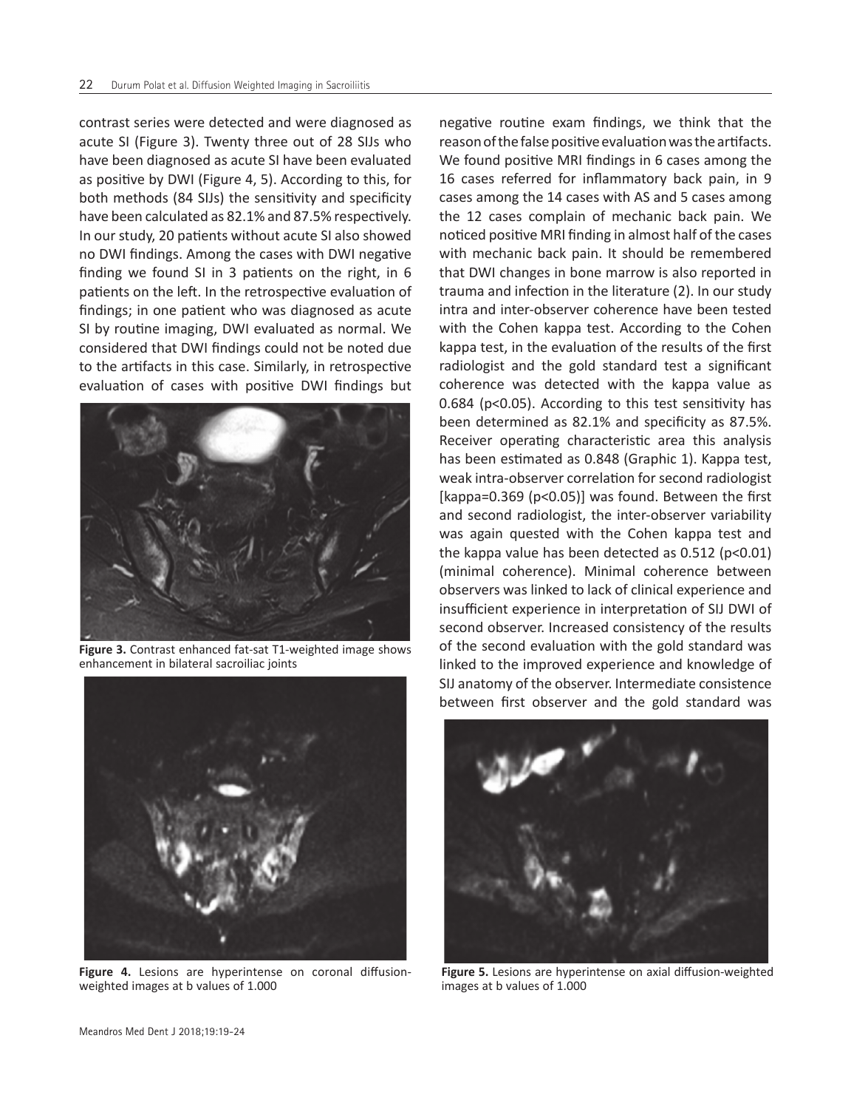contrast series were detected and were diagnosed as acute SI (Figure 3). Twenty three out of 28 SIJs who have been diagnosed as acute SI have been evaluated as positive by DWI (Figure 4, 5). According to this, for both methods (84 SIJs) the sensitivity and specificity have been calculated as 82.1% and 87.5% respectively. In our study, 20 patients without acute SI also showed no DWI findings. Among the cases with DWI negative finding we found SI in 3 patients on the right, in 6 patients on the left. In the retrospective evaluation of findings; in one patient who was diagnosed as acute SI by routine imaging, DWI evaluated as normal. We considered that DWI findings could not be noted due to the artifacts in this case. Similarly, in retrospective evaluation of cases with positive DWI findings but



**Figure 3.** Contrast enhanced fat-sat T1-weighted image shows enhancement in bilateral sacroiliac joints



**Figure 4.** Lesions are hyperintense on coronal diffusionweighted images at b values of 1.000

negative routine exam findings, we think that the reason of the false positive evaluation was the artifacts. We found positive MRI findings in 6 cases among the 16 cases referred for inflammatory back pain, in 9 cases among the 14 cases with AS and 5 cases among the 12 cases complain of mechanic back pain. We noticed positive MRI finding in almost half of the cases with mechanic back pain. It should be remembered that DWI changes in bone marrow is also reported in trauma and infection in the literature (2). In our study intra and inter-observer coherence have been tested with the Cohen kappa test. According to the Cohen kappa test, in the evaluation of the results of the first radiologist and the gold standard test a significant coherence was detected with the kappa value as 0.684 (p<0.05). According to this test sensitivity has been determined as 82.1% and specificity as 87.5%. Receiver operating characteristic area this analysis has been estimated as 0.848 (Graphic 1). Kappa test, weak intra-observer correlation for second radiologist [kappa=0.369 (p<0.05)] was found. Between the first and second radiologist, the inter-observer variability was again quested with the Cohen kappa test and the kappa value has been detected as  $0.512$  (p<0.01) (minimal coherence). Minimal coherence between observers was linked to lack of clinical experience and insufficient experience in interpretation of SIJ DWI of second observer. Increased consistency of the results of the second evaluation with the gold standard was linked to the improved experience and knowledge of SIJ anatomy of the observer. Intermediate consistence between first observer and the gold standard was



**Figure 5.** Lesions are hyperintense on axial diffusion-weighted images at b values of 1.000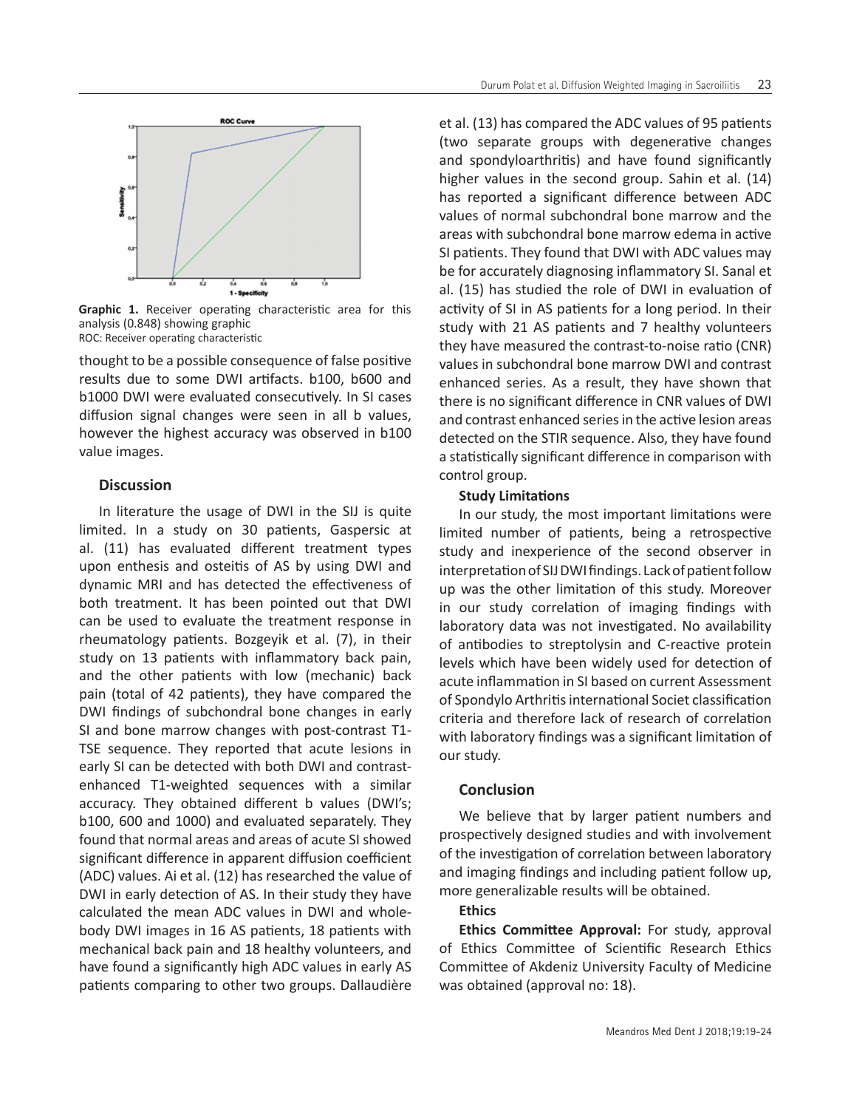

**Graphic 1.** Receiver operating characteristic area for this analysis (0.848) showing graphic ROC: Receiver operating characteristic

thought to be a possible consequence of false positive results due to some DWI artifacts. b100, b600 and b1000 DWI were evaluated consecutively. In SI cases diffusion signal changes were seen in all b values, however the highest accuracy was observed in b100 value images.

## **Discussion**

In literature the usage of DWI in the SIJ is quite limited. In a study on 30 patients, Gaspersic at al. (11) has evaluated different treatment types upon enthesis and osteitis of AS by using DWI and dynamic MRI and has detected the effectiveness of both treatment. It has been pointed out that DWI can be used to evaluate the treatment response in rheumatology patients. Bozgeyik et al. (7), in their study on 13 patients with inflammatory back pain, and the other patients with low (mechanic) back pain (total of 42 patients), they have compared the DWI findings of subchondral bone changes in early SI and bone marrow changes with post-contrast T1- TSE sequence. They reported that acute lesions in early SI can be detected with both DWI and contrastenhanced T1-weighted sequences with a similar accuracy. They obtained different b values (DWI's; b100, 600 and 1000) and evaluated separately. They found that normal areas and areas of acute SI showed significant difference in apparent diffusion coefficient (ADC) values. Ai et al. (12) has researched the value of DWI in early detection of AS. In their study they have calculated the mean ADC values in DWI and wholebody DWI images in 16 AS patients, 18 patients with mechanical back pain and 18 healthy volunteers, and have found a significantly high ADC values in early AS patients comparing to other two groups. Dallaudière

et al. (13) has compared the ADC values of 95 patients (two separate groups with degenerative changes and spondyloarthritis) and have found significantly higher values in the second group. Sahin et al. (14) has reported a significant difference between ADC values of normal subchondral bone marrow and the areas with subchondral bone marrow edema in active SI patients. They found that DWI with ADC values may be for accurately diagnosing inflammatory SI. Sanal et al. (15) has studied the role of DWI in evaluation of activity of SI in AS patients for a long period. In their study with 21 AS patients and 7 healthy volunteers they have measured the contrast-to-noise ratio (CNR) values in subchondral bone marrow DWI and contrast enhanced series. As a result, they have shown that there is no significant difference in CNR values of DWI and contrast enhanced series in the active lesion areas detected on the STIR sequence. Also, they have found a statistically significant difference in comparison with control group.

## **Study Limitations**

In our study, the most important limitations were limited number of patients, being a retrospective study and inexperience of the second observer in interpretation of SIJ DWI findings. Lack of patient follow up was the other limitation of this study. Moreover in our study correlation of imaging findings with laboratory data was not investigated. No availability of antibodies to streptolysin and C-reactive protein levels which have been widely used for detection of acute inflammation in SI based on current Assessment of Spondylo Arthritis international Societ classification criteria and therefore lack of research of correlation with laboratory findings was a significant limitation of our study.

## **Conclusion**

We believe that by larger patient numbers and prospectively designed studies and with involvement of the investigation of correlation between laboratory and imaging findings and including patient follow up, more generalizable results will be obtained.

# **Ethics**

**Ethics Committee Approval:** For study, approval of Ethics Committee of Scientific Research Ethics Committee of Akdeniz University Faculty of Medicine was obtained (approval no: 18).